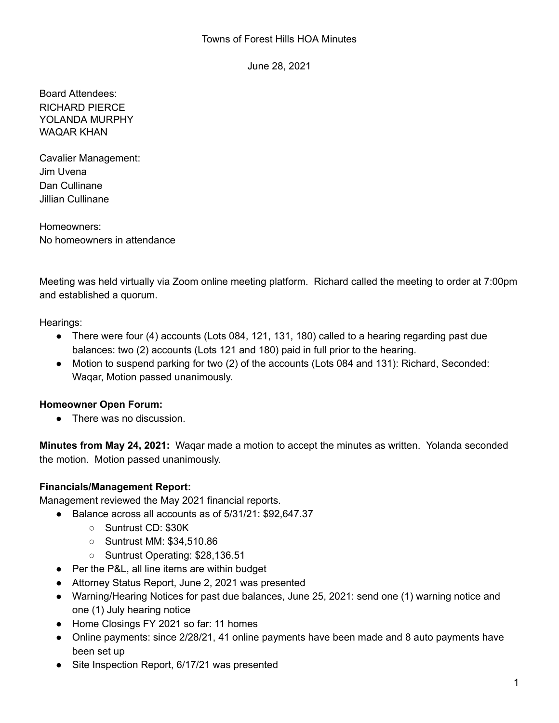June 28, 2021

Board Attendees: RICHARD PIERCE YOLANDA MURPHY WAQAR KHAN

Cavalier Management: Jim Uvena Dan Cullinane Jillian Cullinane

Homeowners: No homeowners in attendance

Meeting was held virtually via Zoom online meeting platform. Richard called the meeting to order at 7:00pm and established a quorum.

Hearings:

- There were four (4) accounts (Lots 084, 121, 131, 180) called to a hearing regarding past due balances: two (2) accounts (Lots 121 and 180) paid in full prior to the hearing.
- Motion to suspend parking for two (2) of the accounts (Lots 084 and 131): Richard, Seconded: Waqar, Motion passed unanimously.

# **Homeowner Open Forum:**

● There was no discussion.

**Minutes from May 24, 2021:** Waqar made a motion to accept the minutes as written. Yolanda seconded the motion. Motion passed unanimously.

# **Financials/Management Report:**

Management reviewed the May 2021 financial reports.

- Balance across all accounts as of 5/31/21: \$92,647.37
	- Suntrust CD: \$30K
	- Suntrust MM: \$34,510.86
	- Suntrust Operating: \$28,136.51
- Per the P&L, all line items are within budget
- Attorney Status Report, June 2, 2021 was presented
- Warning/Hearing Notices for past due balances, June 25, 2021: send one (1) warning notice and one (1) July hearing notice
- Home Closings FY 2021 so far: 11 homes
- Online payments: since 2/28/21, 41 online payments have been made and 8 auto payments have been set up
- Site Inspection Report, 6/17/21 was presented